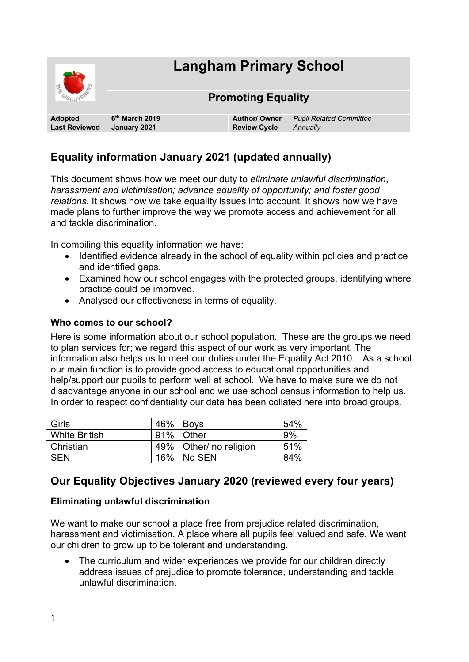

# **Equality information January 2021 (updated annually)**

This document shows how we meet our duty to *eliminate unlawful discrimination*, *harassment and victimisation; advance equality of opportunity; and foster good relations*. It shows how we take equality issues into account. It shows how we have made plans to further improve the way we promote access and achievement for all and tackle discrimination.

In compiling this equality information we have:

- Identified evidence already in the school of equality within policies and practice and identified gaps.
- Examined how our school engages with the protected groups, identifying where practice could be improved.
- Analysed our effectiveness in terms of equality.

#### **Who comes to our school?**

Here is some information about our school population. These are the groups we need to plan services for; we regard this aspect of our work as very important. The information also helps us to meet our duties under the Equality Act 2010. As a school our main function is to provide good access to educational opportunities and help/support our pupils to perform well at school. We have to make sure we do not disadvantage anyone in our school and we use school census information to help us. In order to respect confidentiality our data has been collated here into broad groups.

| <b>Girls</b>         | 46% | <b>Boys</b>              | 54% |
|----------------------|-----|--------------------------|-----|
| <b>White British</b> |     | 91% Other                | 9%  |
| Christian            |     | 49%   Other/ no religion | 51% |
| <b>SEN</b>           | 16% | ∣No SEN                  | 84% |

## **Our Equality Objectives January 2020 (reviewed every four years)**

#### **Eliminating unlawful discrimination**

We want to make our school a place free from prejudice related discrimination, harassment and victimisation. A place where all pupils feel valued and safe. We want our children to grow up to be tolerant and understanding.

• The curriculum and wider experiences we provide for our children directly address issues of prejudice to promote tolerance, understanding and tackle unlawful discrimination.